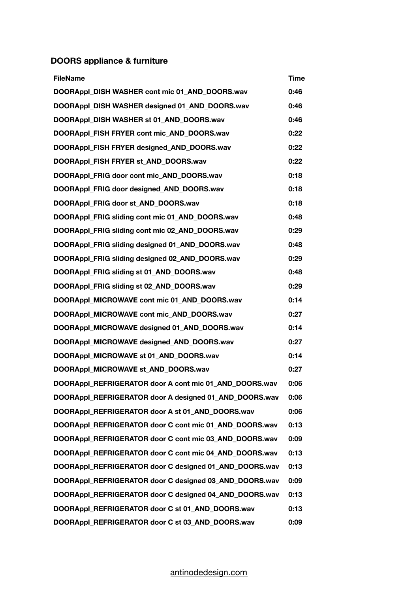## **DOORS appliance & furniture**

| <b>FileName</b>                                        | Time |
|--------------------------------------------------------|------|
| DOORAppl_DISH WASHER cont mic 01_AND_DOORS.wav         | 0:46 |
| DOORAppl_DISH WASHER designed 01_AND_DOORS.wav         | 0:46 |
| DOORAppl DISH WASHER st 01 AND DOORS.wav               | 0:46 |
| DOORAppl_FISH FRYER cont mic_AND_DOORS.wav             | 0:22 |
| DOORAppl_FISH FRYER designed_AND_DOORS.wav             | 0:22 |
| DOORAppl_FISH FRYER st_AND_DOORS.wav                   | 0:22 |
| DOORAppl FRIG door cont mic AND DOORS.wav              | 0:18 |
| DOORAppl_FRIG door designed_AND_DOORS.wav              | 0:18 |
| DOORAppl_FRIG door st_AND_DOORS.wav                    | 0:18 |
| DOORAppl FRIG sliding cont mic 01 AND DOORS.wav        | 0:48 |
| DOORAppl FRIG sliding cont mic 02 AND DOORS.wav        | 0:29 |
| DOORAppl_FRIG sliding designed 01_AND_DOORS.wav        | 0:48 |
| DOORAppl FRIG sliding designed 02 AND DOORS.wav        | 0:29 |
| DOORAppl_FRIG sliding st 01_AND_DOORS.wav              | 0:48 |
| DOORAppl_FRIG sliding st 02_AND_DOORS.wav              | 0:29 |
| DOORAppl_MICROWAVE cont mic 01_AND_DOORS.wav           | 0:14 |
| DOORAppl MICROWAVE cont mic AND DOORS.wav              | 0:27 |
| DOORAppl_MICROWAVE designed 01_AND_DOORS.wav           | 0:14 |
| DOORAppl_MICROWAVE designed_AND_DOORS.wav              | 0:27 |
| DOORAppl MICROWAVE st 01 AND DOORS.wav                 | 0:14 |
| DOORAppl_MICROWAVE st_AND_DOORS.wav                    | 0:27 |
| DOORAppl_REFRIGERATOR door A cont mic 01_AND_DOORS.wav | 0:06 |
| DOORAppl REFRIGERATOR door A designed 01 AND DOORS.wav | 0:06 |
| DOORAppl REFRIGERATOR door A st 01 AND DOORS.wav       | 0:06 |
| DOORAppl_REFRIGERATOR door C cont mic 01_AND_DOORS.wav | 0:13 |
| DOORAppl_REFRIGERATOR door C cont mic 03_AND_DOORS.wav | 0:09 |
| DOORAppl REFRIGERATOR door C cont mic 04 AND DOORS.wav | 0:13 |
| DOORAppl_REFRIGERATOR door C designed 01_AND_DOORS.wav | 0:13 |
| DOORAppl_REFRIGERATOR door C designed 03_AND_DOORS.wav | 0:09 |
| DOORAppl_REFRIGERATOR door C designed 04_AND_DOORS.wav | 0:13 |
| DOORAppl REFRIGERATOR door C st 01 AND DOORS.wav       | 0:13 |
| DOORAppl_REFRIGERATOR door C st 03_AND_DOORS.wav       | 0:09 |

## [antinodedesign.com](http://antinodedesign.com)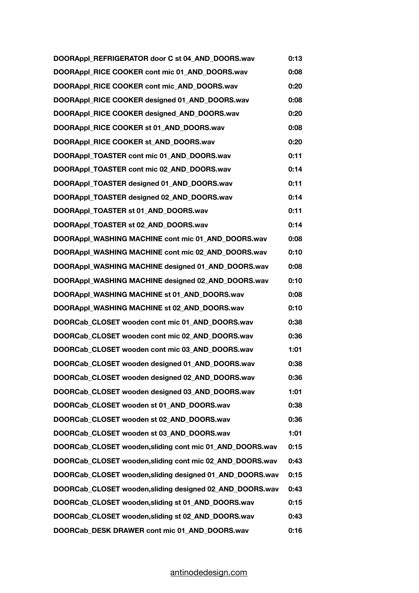| DOORAppl_REFRIGERATOR door C st 04_AND_DOORS.wav         | 0:13 |
|----------------------------------------------------------|------|
| DOORAppl_RICE COOKER cont mic 01_AND_DOORS.wav           | 0:08 |
| DOORAppl_RICE COOKER cont mic_AND_DOORS.wav              | 0:20 |
| DOORAppl RICE COOKER designed 01 AND DOORS.wav           | 0:08 |
| DOORAppl_RICE COOKER designed_AND_DOORS.wav              | 0:20 |
| DOORAppl_RICE COOKER st 01_AND_DOORS.wav                 | 0:08 |
| DOORAppl_RICE COOKER st_AND_DOORS.wav                    | 0:20 |
| DOORAppl_TOASTER cont mic 01_AND_DOORS.wav               | 0:11 |
| DOORAppl_TOASTER cont mic 02_AND_DOORS.wav               | 0:14 |
| DOORAppl_TOASTER designed 01_AND_DOORS.wav               | 0:11 |
| DOORAppl_TOASTER designed 02_AND_DOORS.wav               | 0:14 |
| DOORAppl_TOASTER st 01_AND_DOORS.wav                     | 0:11 |
| DOORAppl_TOASTER st 02_AND_DOORS.wav                     | 0:14 |
| DOORAppl WASHING MACHINE cont mic 01 AND DOORS.wav       | 0:08 |
| DOORAppl_WASHING MACHINE cont mic 02_AND_DOORS.wav       | 0:10 |
| DOORAppl_WASHING MACHINE designed 01_AND_DOORS.wav       | 0:08 |
| DOORAppl_WASHING MACHINE designed 02_AND_DOORS.wav       | 0:10 |
| DOORAppl WASHING MACHINE st 01 AND DOORS.wav             | 0:08 |
| DOORAppl_WASHING MACHINE st 02_AND_DOORS.wav             | 0:10 |
| DOORCab_CLOSET wooden cont mic 01_AND_DOORS.wav          | 0:38 |
| DOORCab_CLOSET wooden cont mic 02_AND_DOORS.wav          | 0:36 |
| DOORCab CLOSET wooden cont mic 03 AND DOORS.wav          | 1:01 |
| DOORCab_CLOSET wooden designed 01_AND_DOORS.wav          | 0:38 |
| DOORCab CLOSET wooden designed 02 AND DOORS.wav          | 0:36 |
| DOORCab CLOSET wooden designed 03 AND DOORS.wav          | 1:01 |
| DOORCab_CLOSET wooden st 01_AND_DOORS.wav                | 0:38 |
| DOORCab CLOSET wooden st 02 AND DOORS.wav                | 0:36 |
| DOORCab CLOSET wooden st 03 AND DOORS.wav                | 1:01 |
| DOORCab CLOSET wooden, sliding cont mic 01 AND DOORS.wav | 0:15 |
| DOORCab_CLOSET wooden, sliding cont mic 02_AND_DOORS.wav | 0:43 |
| DOORCab_CLOSET wooden, sliding designed 01_AND_DOORS.wav | 0:15 |
| DOORCab CLOSET wooden, sliding designed 02_AND_DOORS.wav | 0:43 |
| DOORCab_CLOSET wooden, sliding st 01_AND_DOORS.wav       | 0:15 |
| DOORCab_CLOSET wooden, sliding st 02_AND_DOORS.wav       | 0:43 |
| DOORCab_DESK DRAWER cont mic 01_AND_DOORS.wav            | 0:16 |

## [antinodedesign.com](http://antinodedesign.com)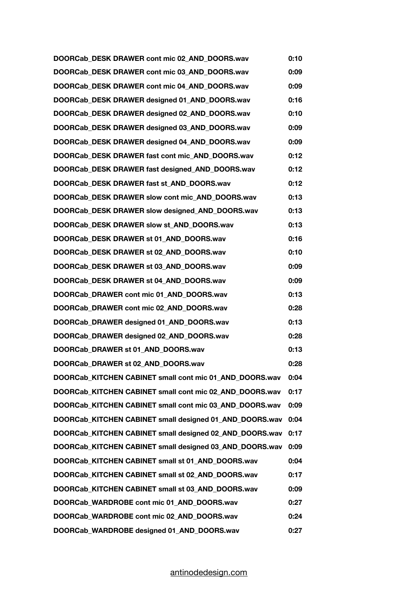**DOORCab\_DESK DRAWER cont mic 02\_AND\_DOORS.wav 0:10 DOORCab\_DESK DRAWER cont mic 03\_AND\_DOORS.wav 0:09 DOORCab\_DESK DRAWER cont mic 04\_AND\_DOORS.wav 0:09 DOORCab\_DESK DRAWER designed 01\_AND\_DOORS.wav 0:16 DOORCab\_DESK DRAWER designed 02\_AND\_DOORS.wav 0:10 DOORCab\_DESK DRAWER designed 03\_AND\_DOORS.wav 0:09 DOORCab\_DESK DRAWER designed 04\_AND\_DOORS.wav 0:09 DOORCab\_DESK DRAWER fast cont mic\_AND\_DOORS.wav 0:12 DOORCab\_DESK DRAWER fast designed\_AND\_DOORS.wav 0:12 DOORCab\_DESK DRAWER fast st\_AND\_DOORS.wav 0:12 DOORCab\_DESK DRAWER slow cont mic\_AND\_DOORS.wav 0:13 DOORCab\_DESK DRAWER slow designed\_AND\_DOORS.wav 0:13 DOORCab\_DESK DRAWER slow st\_AND\_DOORS.wav 0:13 DOORCab\_DESK DRAWER st 01\_AND\_DOORS.wav 0:16 DOORCab\_DESK DRAWER st 02\_AND\_DOORS.wav 0:10 DOORCab\_DESK DRAWER st 03\_AND\_DOORS.wav 0:09 DOORCab\_DESK DRAWER st 04\_AND\_DOORS.wav 0:09 DOORCab\_DRAWER cont mic 01\_AND\_DOORS.wav 0:13 DOORCab\_DRAWER cont mic 02\_AND\_DOORS.wav 0:28 DOORCab\_DRAWER designed 01\_AND\_DOORS.wav 0:13 DOORCab\_DRAWER designed 02\_AND\_DOORS.wav 0:28 DOORCab\_DRAWER st 01\_AND\_DOORS.wav 0:13 DOORCab\_DRAWER st 02\_AND\_DOORS.wav 0:28 DOORCab\_KITCHEN CABINET small cont mic 01\_AND\_DOORS.wav 0:04 DOORCab\_KITCHEN CABINET small cont mic 02\_AND\_DOORS.wav 0:17 DOORCab\_KITCHEN CABINET small cont mic 03\_AND\_DOORS.wav 0:09 DOORCab\_KITCHEN CABINET small designed 01\_AND\_DOORS.wav 0:04 DOORCab\_KITCHEN CABINET small designed 02\_AND\_DOORS.wav 0:17 DOORCab\_KITCHEN CABINET small designed 03\_AND\_DOORS.wav 0:09 DOORCab\_KITCHEN CABINET small st 01\_AND\_DOORS.wav 0:04 DOORCab\_KITCHEN CABINET small st 02\_AND\_DOORS.wav 0:17 DOORCab\_KITCHEN CABINET small st 03\_AND\_DOORS.wav 0:09 DOORCab\_WARDROBE cont mic 01\_AND\_DOORS.wav 0:27 DOORCab\_WARDROBE cont mic 02\_AND\_DOORS.wav 0:24 DOORCab\_WARDROBE designed 01\_AND\_DOORS.wav 0:27**

## [antinodedesign.com](http://antinodedesign.com)